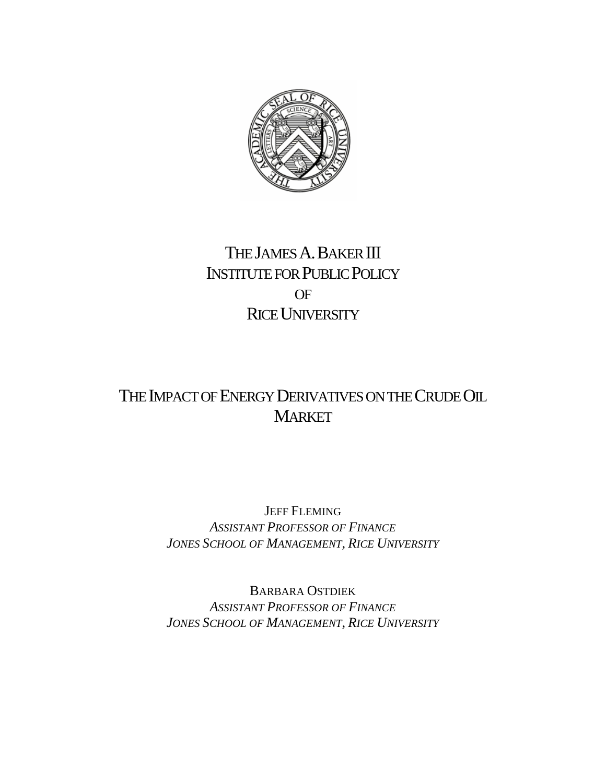

# THE JAMES A.BAKER III INSTITUTE FOR PUBLIC POLICY OF RICE UNIVERSITY

# THE IMPACT OF ENERGY DERIVATIVES ON THE CRUDE OIL **MARKET**

JEFF FLEMING *ASSISTANT PROFESSOR OF FINANCE JONES SCHOOL OF MANAGEMENT, RICE UNIVERSITY*

BARBARA OSTDIEK *ASSISTANT PROFESSOR OF FINANCE JONES SCHOOL OF MANAGEMENT, RICE UNIVERSITY*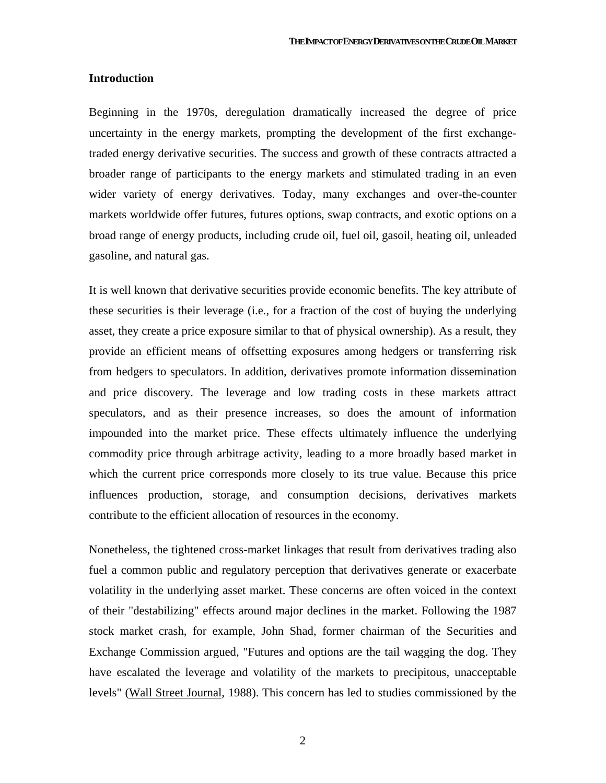#### **Introduction**

Beginning in the 1970s, deregulation dramatically increased the degree of price uncertainty in the energy markets, prompting the development of the first exchangetraded energy derivative securities. The success and growth of these contracts attracted a broader range of participants to the energy markets and stimulated trading in an even wider variety of energy derivatives. Today, many exchanges and over-the-counter markets worldwide offer futures, futures options, swap contracts, and exotic options on a broad range of energy products, including crude oil, fuel oil, gasoil, heating oil, unleaded gasoline, and natural gas.

It is well known that derivative securities provide economic benefits. The key attribute of these securities is their leverage (i.e., for a fraction of the cost of buying the underlying asset, they create a price exposure similar to that of physical ownership). As a result, they provide an efficient means of offsetting exposures among hedgers or transferring risk from hedgers to speculators. In addition, derivatives promote information dissemination and price discovery. The leverage and low trading costs in these markets attract speculators, and as their presence increases, so does the amount of information impounded into the market price. These effects ultimately influence the underlying commodity price through arbitrage activity, leading to a more broadly based market in which the current price corresponds more closely to its true value. Because this price influences production, storage, and consumption decisions, derivatives markets contribute to the efficient allocation of resources in the economy.

Nonetheless, the tightened cross-market linkages that result from derivatives trading also fuel a common public and regulatory perception that derivatives generate or exacerbate volatility in the underlying asset market. These concerns are often voiced in the context of their "destabilizing" effects around major declines in the market. Following the 1987 stock market crash, for example, John Shad, former chairman of the Securities and Exchange Commission argued, "Futures and options are the tail wagging the dog. They have escalated the leverage and volatility of the markets to precipitous, unacceptable levels" (Wall Street Journal, 1988). This concern has led to studies commissioned by the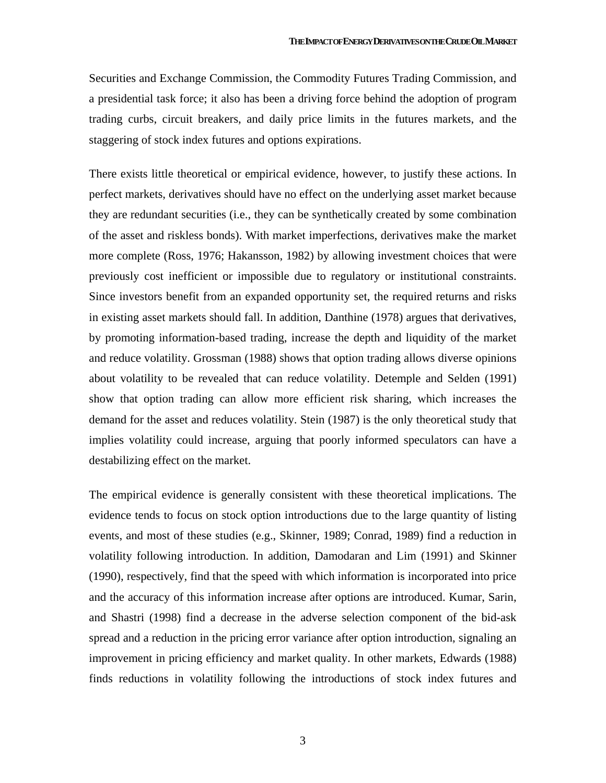Securities and Exchange Commission, the Commodity Futures Trading Commission, and a presidential task force; it also has been a driving force behind the adoption of program trading curbs, circuit breakers, and daily price limits in the futures markets, and the staggering of stock index futures and options expirations.

There exists little theoretical or empirical evidence, however, to justify these actions. In perfect markets, derivatives should have no effect on the underlying asset market because they are redundant securities (i.e., they can be synthetically created by some combination of the asset and riskless bonds). With market imperfections, derivatives make the market more complete (Ross, 1976; Hakansson, 1982) by allowing investment choices that were previously cost inefficient or impossible due to regulatory or institutional constraints. Since investors benefit from an expanded opportunity set, the required returns and risks in existing asset markets should fall. In addition, Danthine (1978) argues that derivatives, by promoting information-based trading, increase the depth and liquidity of the market and reduce volatility. Grossman (1988) shows that option trading allows diverse opinions about volatility to be revealed that can reduce volatility. Detemple and Selden (1991) show that option trading can allow more efficient risk sharing, which increases the demand for the asset and reduces volatility. Stein (1987) is the only theoretical study that implies volatility could increase, arguing that poorly informed speculators can have a destabilizing effect on the market.

The empirical evidence is generally consistent with these theoretical implications. The evidence tends to focus on stock option introductions due to the large quantity of listing events, and most of these studies (e.g., Skinner, 1989; Conrad, 1989) find a reduction in volatility following introduction. In addition, Damodaran and Lim (1991) and Skinner (1990), respectively, find that the speed with which information is incorporated into price and the accuracy of this information increase after options are introduced. Kumar, Sarin, and Shastri (1998) find a decrease in the adverse selection component of the bid-ask spread and a reduction in the pricing error variance after option introduction, signaling an improvement in pricing efficiency and market quality. In other markets, Edwards (1988) finds reductions in volatility following the introductions of stock index futures and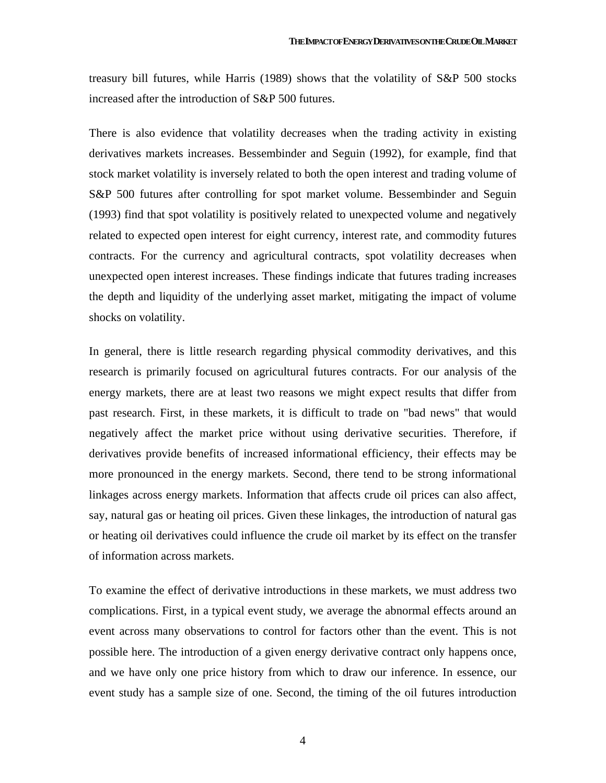treasury bill futures, while Harris (1989) shows that the volatility of S&P 500 stocks increased after the introduction of S&P 500 futures.

There is also evidence that volatility decreases when the trading activity in existing derivatives markets increases. Bessembinder and Seguin (1992), for example, find that stock market volatility is inversely related to both the open interest and trading volume of S&P 500 futures after controlling for spot market volume. Bessembinder and Seguin (1993) find that spot volatility is positively related to unexpected volume and negatively related to expected open interest for eight currency, interest rate, and commodity futures contracts. For the currency and agricultural contracts, spot volatility decreases when unexpected open interest increases. These findings indicate that futures trading increases the depth and liquidity of the underlying asset market, mitigating the impact of volume shocks on volatility.

In general, there is little research regarding physical commodity derivatives, and this research is primarily focused on agricultural futures contracts. For our analysis of the energy markets, there are at least two reasons we might expect results that differ from past research. First, in these markets, it is difficult to trade on "bad news" that would negatively affect the market price without using derivative securities. Therefore, if derivatives provide benefits of increased informational efficiency, their effects may be more pronounced in the energy markets. Second, there tend to be strong informational linkages across energy markets. Information that affects crude oil prices can also affect, say, natural gas or heating oil prices. Given these linkages, the introduction of natural gas or heating oil derivatives could influence the crude oil market by its effect on the transfer of information across markets.

To examine the effect of derivative introductions in these markets, we must address two complications. First, in a typical event study, we average the abnormal effects around an event across many observations to control for factors other than the event. This is not possible here. The introduction of a given energy derivative contract only happens once, and we have only one price history from which to draw our inference. In essence, our event study has a sample size of one. Second, the timing of the oil futures introduction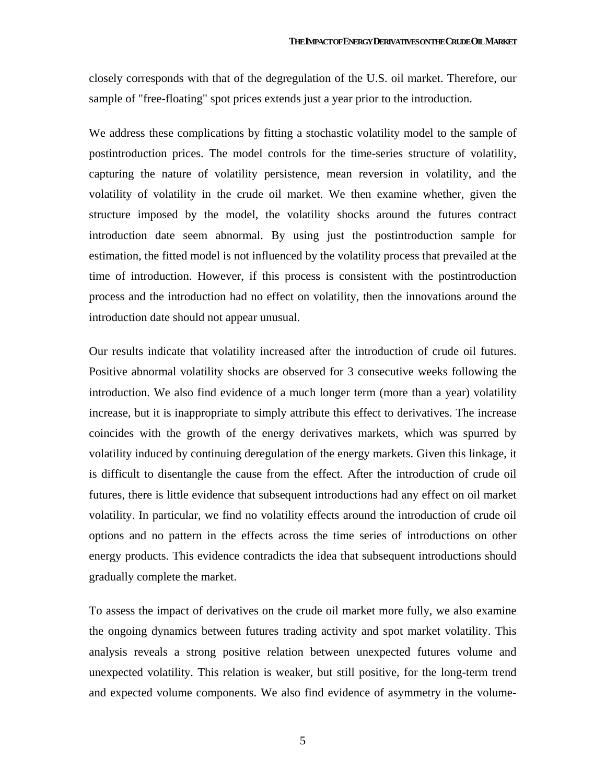closely corresponds with that of the degregulation of the U.S. oil market. Therefore, our sample of "free-floating" spot prices extends just a year prior to the introduction.

We address these complications by fitting a stochastic volatility model to the sample of postintroduction prices. The model controls for the time-series structure of volatility, capturing the nature of volatility persistence, mean reversion in volatility, and the volatility of volatility in the crude oil market. We then examine whether, given the structure imposed by the model, the volatility shocks around the futures contract introduction date seem abnormal. By using just the postintroduction sample for estimation, the fitted model is not influenced by the volatility process that prevailed at the time of introduction. However, if this process is consistent with the postintroduction process and the introduction had no effect on volatility, then the innovations around the introduction date should not appear unusual.

Our results indicate that volatility increased after the introduction of crude oil futures. Positive abnormal volatility shocks are observed for 3 consecutive weeks following the introduction. We also find evidence of a much longer term (more than a year) volatility increase, but it is inappropriate to simply attribute this effect to derivatives. The increase coincides with the growth of the energy derivatives markets, which was spurred by volatility induced by continuing deregulation of the energy markets. Given this linkage, it is difficult to disentangle the cause from the effect. After the introduction of crude oil futures, there is little evidence that subsequent introductions had any effect on oil market volatility. In particular, we find no volatility effects around the introduction of crude oil options and no pattern in the effects across the time series of introductions on other energy products. This evidence contradicts the idea that subsequent introductions should gradually complete the market.

To assess the impact of derivatives on the crude oil market more fully, we also examine the ongoing dynamics between futures trading activity and spot market volatility. This analysis reveals a strong positive relation between unexpected futures volume and unexpected volatility. This relation is weaker, but still positive, for the long-term trend and expected volume components. We also find evidence of asymmetry in the volume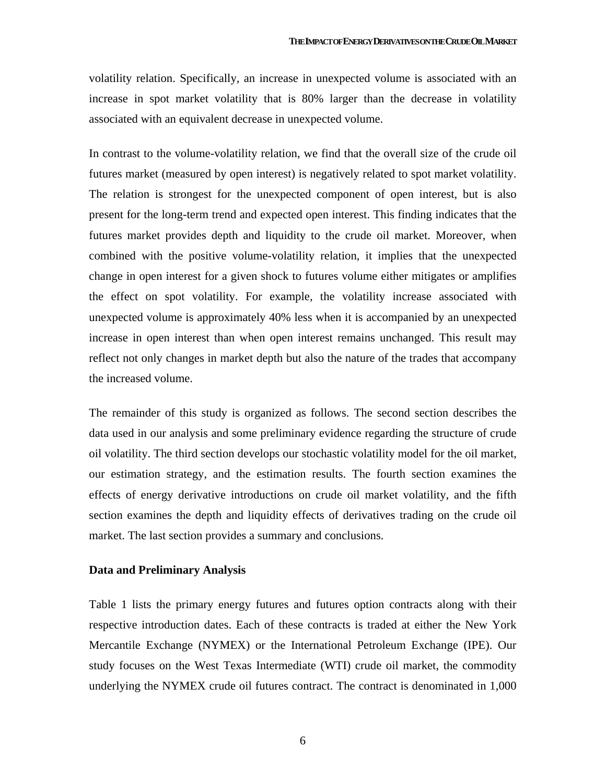volatility relation. Specifically, an increase in unexpected volume is associated with an increase in spot market volatility that is 80% larger than the decrease in volatility associated with an equivalent decrease in unexpected volume.

In contrast to the volume-volatility relation, we find that the overall size of the crude oil futures market (measured by open interest) is negatively related to spot market volatility. The relation is strongest for the unexpected component of open interest, but is also present for the long-term trend and expected open interest. This finding indicates that the futures market provides depth and liquidity to the crude oil market. Moreover, when combined with the positive volume-volatility relation, it implies that the unexpected change in open interest for a given shock to futures volume either mitigates or amplifies the effect on spot volatility. For example, the volatility increase associated with unexpected volume is approximately 40% less when it is accompanied by an unexpected increase in open interest than when open interest remains unchanged. This result may reflect not only changes in market depth but also the nature of the trades that accompany the increased volume.

The remainder of this study is organized as follows. The second section describes the data used in our analysis and some preliminary evidence regarding the structure of crude oil volatility. The third section develops our stochastic volatility model for the oil market, our estimation strategy, and the estimation results. The fourth section examines the effects of energy derivative introductions on crude oil market volatility, and the fifth section examines the depth and liquidity effects of derivatives trading on the crude oil market. The last section provides a summary and conclusions.

## **Data and Preliminary Analysis**

Table 1 lists the primary energy futures and futures option contracts along with their respective introduction dates. Each of these contracts is traded at either the New York Mercantile Exchange (NYMEX) or the International Petroleum Exchange (IPE). Our study focuses on the West Texas Intermediate (WTI) crude oil market, the commodity underlying the NYMEX crude oil futures contract. The contract is denominated in 1,000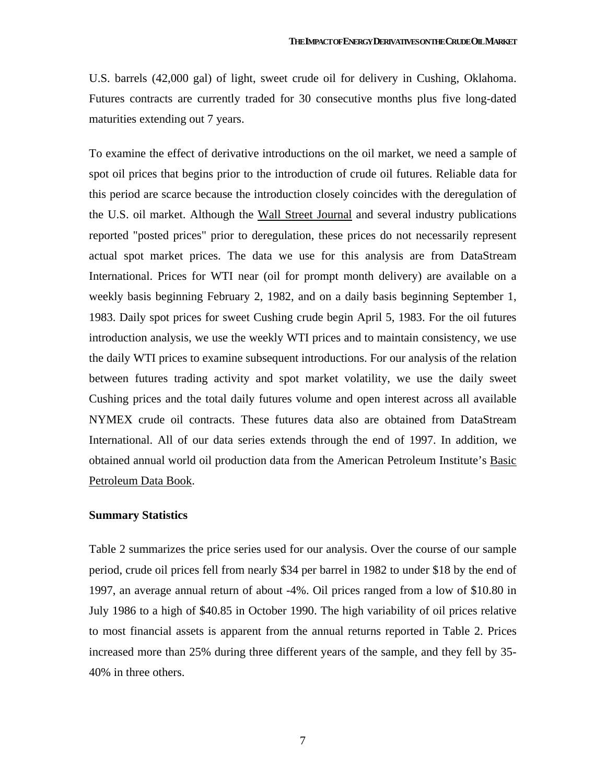U.S. barrels (42,000 gal) of light, sweet crude oil for delivery in Cushing, Oklahoma. Futures contracts are currently traded for 30 consecutive months plus five long-dated maturities extending out 7 years.

To examine the effect of derivative introductions on the oil market, we need a sample of spot oil prices that begins prior to the introduction of crude oil futures. Reliable data for this period are scarce because the introduction closely coincides with the deregulation of the U.S. oil market. Although the Wall Street Journal and several industry publications reported "posted prices" prior to deregulation, these prices do not necessarily represent actual spot market prices. The data we use for this analysis are from DataStream International. Prices for WTI near (oil for prompt month delivery) are available on a weekly basis beginning February 2, 1982, and on a daily basis beginning September 1, 1983. Daily spot prices for sweet Cushing crude begin April 5, 1983. For the oil futures introduction analysis, we use the weekly WTI prices and to maintain consistency, we use the daily WTI prices to examine subsequent introductions. For our analysis of the relation between futures trading activity and spot market volatility, we use the daily sweet Cushing prices and the total daily futures volume and open interest across all available NYMEX crude oil contracts. These futures data also are obtained from DataStream International. All of our data series extends through the end of 1997. In addition, we obtained annual world oil production data from the American Petroleum Institute's Basic Petroleum Data Book.

#### **Summary Statistics**

Table 2 summarizes the price series used for our analysis. Over the course of our sample period, crude oil prices fell from nearly \$34 per barrel in 1982 to under \$18 by the end of 1997, an average annual return of about -4%. Oil prices ranged from a low of \$10.80 in July 1986 to a high of \$40.85 in October 1990. The high variability of oil prices relative to most financial assets is apparent from the annual returns reported in Table 2. Prices increased more than 25% during three different years of the sample, and they fell by 35- 40% in three others.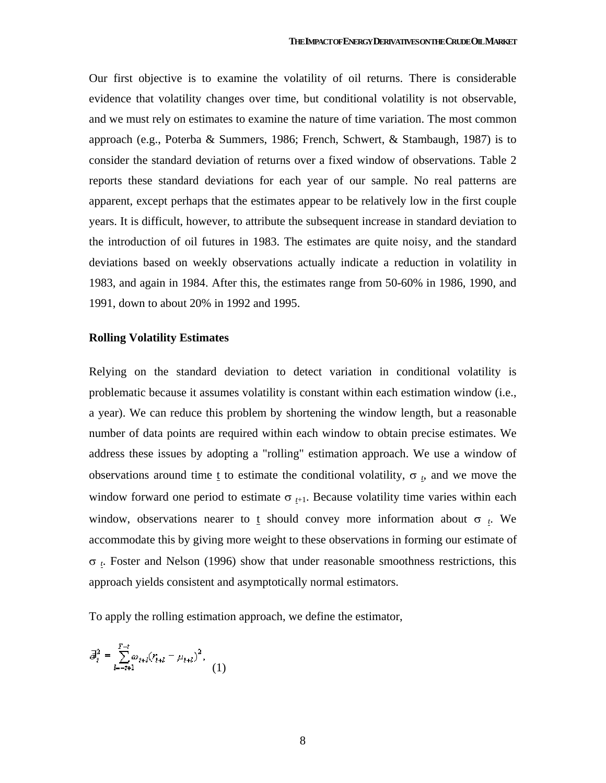Our first objective is to examine the volatility of oil returns. There is considerable evidence that volatility changes over time, but conditional volatility is not observable, and we must rely on estimates to examine the nature of time variation. The most common approach (e.g., Poterba & Summers, 1986; French, Schwert, & Stambaugh, 1987) is to consider the standard deviation of returns over a fixed window of observations. Table 2 reports these standard deviations for each year of our sample. No real patterns are apparent, except perhaps that the estimates appear to be relatively low in the first couple years. It is difficult, however, to attribute the subsequent increase in standard deviation to the introduction of oil futures in 1983. The estimates are quite noisy, and the standard deviations based on weekly observations actually indicate a reduction in volatility in 1983, and again in 1984. After this, the estimates range from 50-60% in 1986, 1990, and 1991, down to about 20% in 1992 and 1995.

#### **Rolling Volatility Estimates**

Relying on the standard deviation to detect variation in conditional volatility is problematic because it assumes volatility is constant within each estimation window (i.e., a year). We can reduce this problem by shortening the window length, but a reasonable number of data points are required within each window to obtain precise estimates. We address these issues by adopting a "rolling" estimation approach. We use a window of observations around time t to estimate the conditional volatility,  $\sigma$ <sub>t</sub>, and we move the window forward one period to estimate  $\sigma$   $_{t+1}$ . Because volatility time varies within each window, observations nearer to t should convey more information about  $\sigma$  <sup>t</sup>. We accommodate this by giving more weight to these observations in forming our estimate of σ *<sup>t</sup>*. Foster and Nelson (1996) show that under reasonable smoothness restrictions, this approach yields consistent and asymptotically normal estimators.

To apply the rolling estimation approach, we define the estimator,

$$
\vec{\theta}_t^2 = \sum_{l=-t+1}^{T-t} \omega_{t+l} (r_{t+l} - \mu_{t+l})^2, \tag{1}
$$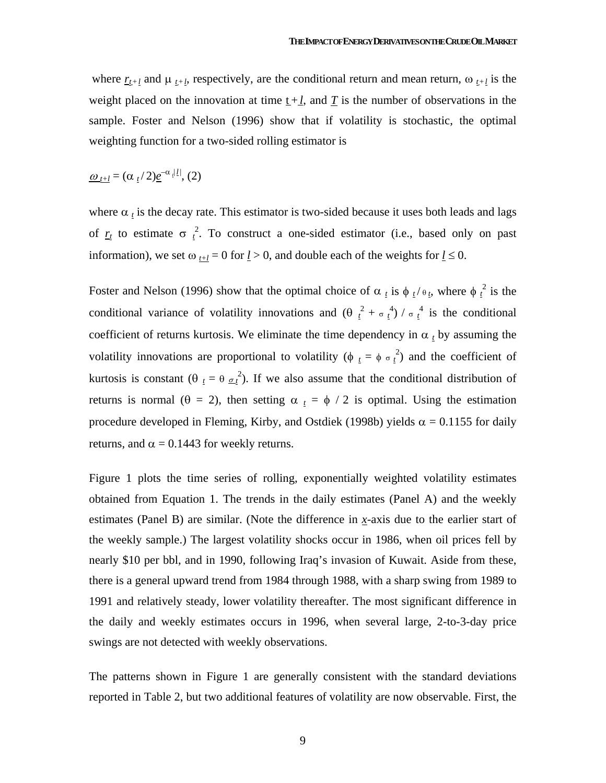where  $r_{t+1}$  and  $\mu_{t+1}$ , respectively, are the conditional return and mean return,  $\omega_{t+1}$  is the weight placed on the innovation at time  $\underline{t} + \underline{l}$ , and  $\underline{T}$  is the number of observations in the sample. Foster and Nelson (1996) show that if volatility is stochastic, the optimal weighting function for a two-sided rolling estimator is

$$
\underline{\omega}_{t+l} = (\alpha_t/2)\underline{e}^{-\alpha_t|l|}, (2)
$$

where  $\alpha_t$  is the decay rate. This estimator is two-sided because it uses both leads and lags of  $r_t$  to estimate  $\sigma_t^2$ . To construct a one-sided estimator (i.e., based only on past information), we set  $\omega_{t+1} = 0$  for  $l > 0$ , and double each of the weights for  $l \le 0$ .

Foster and Nelson (1996) show that the optimal choice of  $\alpha_t$  is  $\phi_t / \theta_t$ , where  $\phi_t^2$  is the conditional variance of volatility innovations and  $(\theta_t^2 + \sigma_t^4)/\sigma_t^4$  is the conditional coefficient of returns kurtosis. We eliminate the time dependency in  $\alpha_t$  by assuming the volatility innovations are proportional to volatility ( $\phi_t = \phi \sigma_t^2$ ) and the coefficient of kurtosis is constant  $(\theta_t = \theta \sigma_t^2)$ . If we also assume that the conditional distribution of returns is normal ( $\theta = 2$ ), then setting  $\alpha$   $t = \phi / 2$  is optimal. Using the estimation procedure developed in Fleming, Kirby, and Ostdiek (1998b) yields  $\alpha = 0.1155$  for daily returns, and  $\alpha = 0.1443$  for weekly returns.

Figure 1 plots the time series of rolling, exponentially weighted volatility estimates obtained from Equation 1. The trends in the daily estimates (Panel A) and the weekly estimates (Panel B) are similar. (Note the difference in *x*-axis due to the earlier start of the weekly sample.) The largest volatility shocks occur in 1986, when oil prices fell by nearly \$10 per bbl, and in 1990, following Iraq's invasion of Kuwait. Aside from these, there is a general upward trend from 1984 through 1988, with a sharp swing from 1989 to 1991 and relatively steady, lower volatility thereafter. The most significant difference in the daily and weekly estimates occurs in 1996, when several large, 2-to-3-day price swings are not detected with weekly observations.

The patterns shown in Figure 1 are generally consistent with the standard deviations reported in Table 2, but two additional features of volatility are now observable. First, the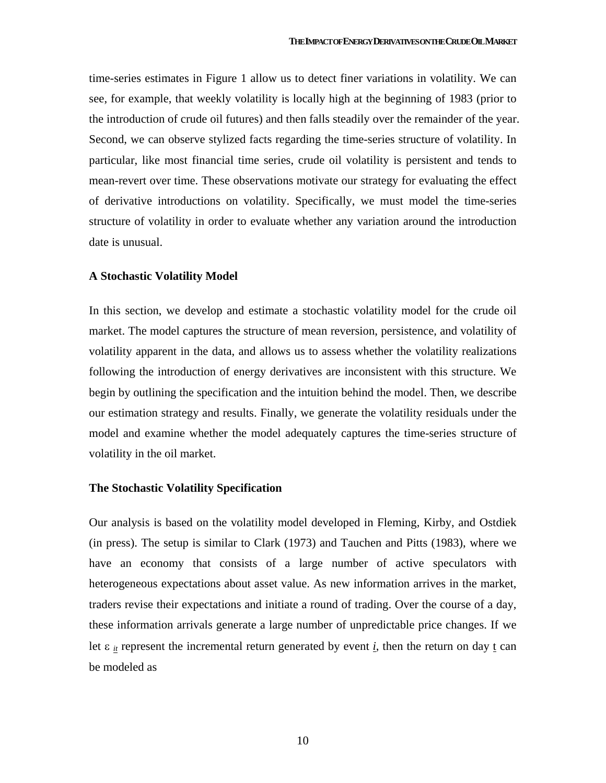time-series estimates in Figure 1 allow us to detect finer variations in volatility. We can see, for example, that weekly volatility is locally high at the beginning of 1983 (prior to the introduction of crude oil futures) and then falls steadily over the remainder of the year. Second, we can observe stylized facts regarding the time-series structure of volatility. In particular, like most financial time series, crude oil volatility is persistent and tends to mean-revert over time. These observations motivate our strategy for evaluating the effect of derivative introductions on volatility. Specifically, we must model the time-series structure of volatility in order to evaluate whether any variation around the introduction date is unusual.

### **A Stochastic Volatility Model**

In this section, we develop and estimate a stochastic volatility model for the crude oil market. The model captures the structure of mean reversion, persistence, and volatility of volatility apparent in the data, and allows us to assess whether the volatility realizations following the introduction of energy derivatives are inconsistent with this structure. We begin by outlining the specification and the intuition behind the model. Then, we describe our estimation strategy and results. Finally, we generate the volatility residuals under the model and examine whether the model adequately captures the time-series structure of volatility in the oil market.

### **The Stochastic Volatility Specification**

Our analysis is based on the volatility model developed in Fleming, Kirby, and Ostdiek (in press). The setup is similar to Clark (1973) and Tauchen and Pitts (1983), where we have an economy that consists of a large number of active speculators with heterogeneous expectations about asset value. As new information arrives in the market, traders revise their expectations and initiate a round of trading. Over the course of a day, these information arrivals generate a large number of unpredictable price changes. If we let  $\varepsilon$  *it* represent the incremental return generated by event *i*, then the return on day t can be modeled as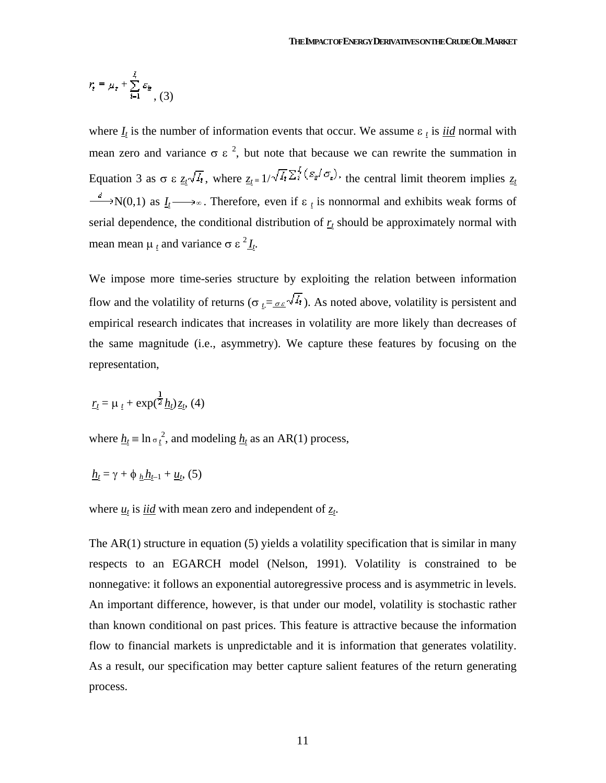$$
r_{t} = \mu_{t} + \sum_{i=1}^{L} \varepsilon_{it}
$$
 (3)

where  $I_t$  is the number of information events that occur. We assume  $\varepsilon_t$  is *iid* normal with mean zero and variance  $\sigma \varepsilon^2$ , but note that because we can rewrite the summation in Equation 3 as  $\sigma \varepsilon_{Zt} \sqrt{I_t}$ , where  $z_t = 1/\sqrt{I_t} \sum_{i=1}^{I} (\varepsilon_{i} \sigma_{i})$ , the central limit theorem implies  $z_t$  $\longrightarrow N(0,1)$  as  $I_t \longrightarrow \infty$ . Therefore, even if  $\varepsilon_t$  is nonnormal and exhibits weak forms of serial dependence, the conditional distribution of  $r_t$  should be approximately normal with mean mean  $\mu_t$  and variance σ ε<sup>2</sup> $I_t$ .

We impose more time-series structure by exploiting the relation between information flow and the volatility of returns ( $\sigma_t = \frac{\sigma \mathcal{E}}{I_t}$ ). As noted above, volatility is persistent and empirical research indicates that increases in volatility are more likely than decreases of the same magnitude (i.e., asymmetry). We capture these features by focusing on the representation,

$$
\underline{r_t} = \mu_t + \exp(\frac{1}{2} \underline{h_t}) \underline{z_t}, (4)
$$

where  $h_t \equiv \ln \frac{t^2}{2t}$ , and modeling  $h_t$  as an AR(1) process,

$$
\underline{h_t} = \gamma + \phi_{h} \underline{h_{t-1}} + \underline{u_t}, (5)
$$

where  $\underline{u}_t$  is *iid* with mean zero and independent of  $\underline{z}_t$ .

The AR(1) structure in equation (5) yields a volatility specification that is similar in many respects to an EGARCH model (Nelson, 1991). Volatility is constrained to be nonnegative: it follows an exponential autoregressive process and is asymmetric in levels. An important difference, however, is that under our model, volatility is stochastic rather than known conditional on past prices. This feature is attractive because the information flow to financial markets is unpredictable and it is information that generates volatility. As a result, our specification may better capture salient features of the return generating process.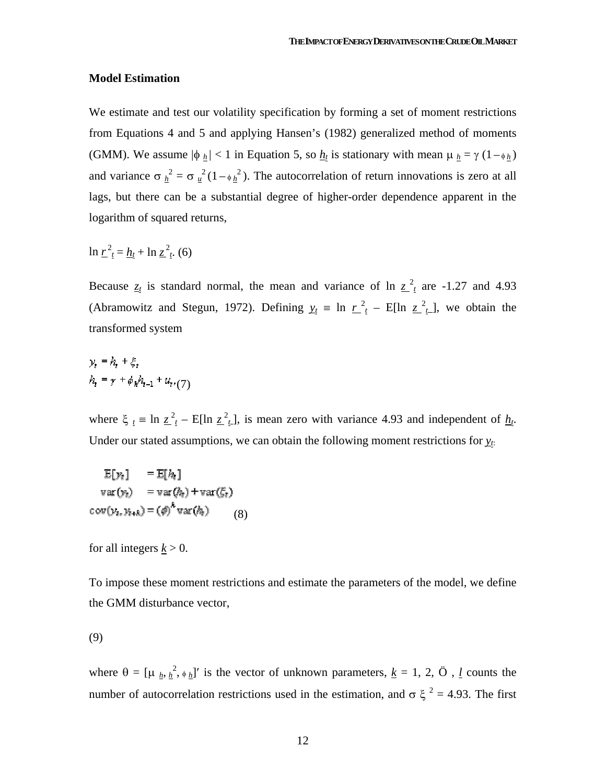#### **Model Estimation**

We estimate and test our volatility specification by forming a set of moment restrictions from Equations 4 and 5 and applying Hansen's (1982) generalized method of moments (GMM). We assume  $|\phi_h|$  < 1 in Equation 5, so  $h_t$  is stationary with mean  $\mu_h = \gamma (1 - \phi_h)$ and variance  $\sigma_h^2 = \sigma_u^2 (1 - \phi_h^2)$ . The autocorrelation of return innovations is zero at all lags, but there can be a substantial degree of higher-order dependence apparent in the logarithm of squared returns,

$$
\ln \underline{r}^2_{t} = \underline{h}_t + \ln \underline{z}^2_{t}. (6)
$$

Because  $z_t$  is standard normal, the mean and variance of  $\ln z_{t}^2$  are -1.27 and 4.93 (Abramowitz and Stegun, 1972). Defining  $y_t = \ln \left( \frac{r^2}{t} - E[\ln \left( \frac{r^2}{t} \right)] \right)$ , we obtain the transformed system

$$
y_t = h_t + \xi_t
$$
  

$$
h_t = \gamma + \phi_h h_{t-1} + u_t, (7)
$$

where  $\xi_t = \ln \frac{z^2_t}{t} - E[\ln \frac{z^2_t}{t}]$ , is mean zero with variance 4.93 and independent of  $h_t$ . Under our stated assumptions, we can obtain the following moment restrictions for  $y_t$ .

$$
\begin{aligned}\n\mathbb{E}[y_t] &= \mathbb{E}[h_t] \\
\text{var}(y_t) &= \text{var}(h_t) + \text{var}(\xi_t) \\
\text{cov}(y_t, y_{t+k}) &= (\phi)^k \text{var}(h_t)\n\end{aligned} \tag{8}
$$

for all integers  $k > 0$ .

To impose these moment restrictions and estimate the parameters of the model, we define the GMM disturbance vector,

(9)

where  $\theta = [\mu_{h}, \mu^2, \phi_h]'$  is the vector of unknown parameters,  $k = 1, 2, \ddot{O}$ , *l* counts the number of autocorrelation restrictions used in the estimation, and  $\sigma \xi^2 = 4.93$ . The first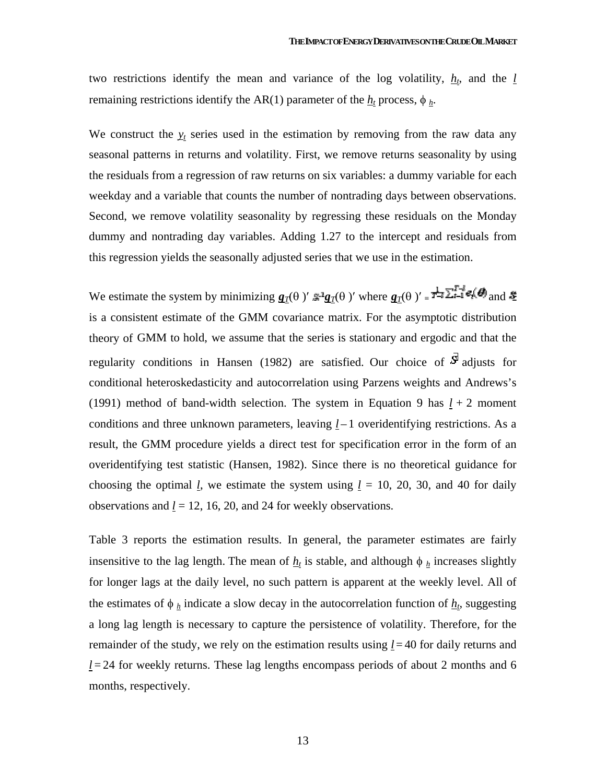two restrictions identify the mean and variance of the log volatility,  $h_t$ , and the  $l$ remaining restrictions identify the AR(1) parameter of the  $h_t$  process, φ<sub>*h*</sub>.

We construct the  $y_t$  series used in the estimation by removing from the raw data any seasonal patterns in returns and volatility. First, we remove returns seasonality by using the residuals from a regression of raw returns on six variables: a dummy variable for each weekday and a variable that counts the number of nontrading days between observations. Second, we remove volatility seasonality by regressing these residuals on the Monday dummy and nontrading day variables. Adding 1.27 to the intercept and residuals from this regression yields the seasonally adjusted series that we use in the estimation.

We estimate the system by minimizing  $g_T(\theta)$ '  $\mathbb{F}_2^1 g_T(\theta)$ ' where  $g_T(\theta)$ ' =  $\mathbb{F}_2^1 \mathbb{F}_2^1 e(\theta)$  and  $\mathbb{F}_2^1$ is a consistent estimate of the GMM covariance matrix. For the asymptotic distribution theory of GMM to hold, we assume that the series is stationary and ergodic and that the regularity conditions in Hansen (1982) are satisfied. Our choice of  $\vec{S}$  adjusts for conditional heteroskedasticity and autocorrelation using Parzens weights and Andrews's (1991) method of band-width selection. The system in Equation 9 has  $l + 2$  moment conditions and three unknown parameters, leaving  *– 1 overidentifying restrictions. As a* result, the GMM procedure yields a direct test for specification error in the form of an overidentifying test statistic (Hansen, 1982). Since there is no theoretical guidance for choosing the optimal *l*, we estimate the system using  $l = 10, 20, 30,$  and 40 for daily observations and  $l = 12, 16, 20,$  and 24 for weekly observations.

Table 3 reports the estimation results. In general, the parameter estimates are fairly insensitive to the lag length. The mean of  $h_t$  is stable, and although  $\phi$  *h* increases slightly for longer lags at the daily level, no such pattern is apparent at the weekly level. All of the estimates of  $\phi$  *h* indicate a slow decay in the autocorrelation function of  $h_t$ , suggesting a long lag length is necessary to capture the persistence of volatility. Therefore, for the remainder of the study, we rely on the estimation results using *l* = 40 for daily returns and  $l = 24$  for weekly returns. These lag lengths encompass periods of about 2 months and 6 months, respectively.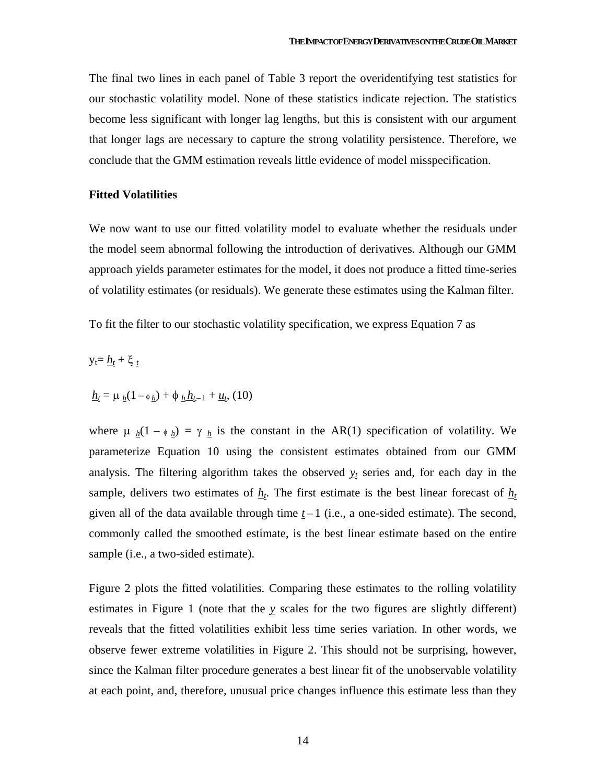The final two lines in each panel of Table 3 report the overidentifying test statistics for our stochastic volatility model. None of these statistics indicate rejection. The statistics become less significant with longer lag lengths, but this is consistent with our argument that longer lags are necessary to capture the strong volatility persistence. Therefore, we conclude that the GMM estimation reveals little evidence of model misspecification.

## **Fitted Volatilities**

We now want to use our fitted volatility model to evaluate whether the residuals under the model seem abnormal following the introduction of derivatives. Although our GMM approach yields parameter estimates for the model, it does not produce a fitted time-series of volatility estimates (or residuals). We generate these estimates using the Kalman filter.

To fit the filter to our stochastic volatility specification, we express Equation 7 as

$$
y_t = \underline{h}_t + \xi_t
$$
  

$$
\underline{h}_t = \mu_{\underline{h}} (1 - \phi_{\underline{h}}) + \phi_{\underline{h}} \underline{h}_{t-1} + \underline{u}_t, (10)
$$

where  $\mu_h(1 - \phi_h) = \gamma_h$  is the constant in the AR(1) specification of volatility. We parameterize Equation 10 using the consistent estimates obtained from our GMM analysis. The filtering algorithm takes the observed  $y_t$  series and, for each day in the sample, delivers two estimates of  $h_t$ . The first estimate is the best linear forecast of  $h_t$ given all of the data available through time  $t-1$  (i.e., a one-sided estimate). The second, commonly called the smoothed estimate, is the best linear estimate based on the entire sample (i.e., a two-sided estimate).

Figure 2 plots the fitted volatilities. Comparing these estimates to the rolling volatility estimates in Figure 1 (note that the *y* scales for the two figures are slightly different) reveals that the fitted volatilities exhibit less time series variation. In other words, we observe fewer extreme volatilities in Figure 2. This should not be surprising, however, since the Kalman filter procedure generates a best linear fit of the unobservable volatility at each point, and, therefore, unusual price changes influence this estimate less than they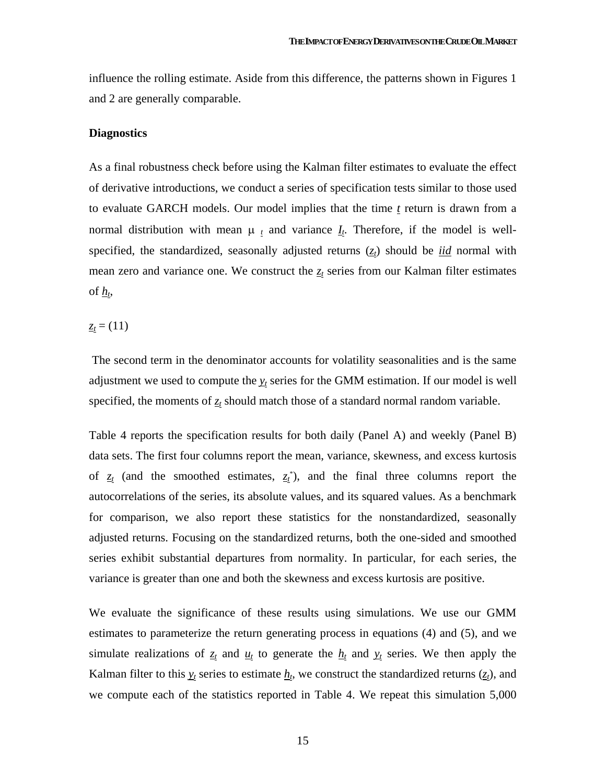influence the rolling estimate. Aside from this difference, the patterns shown in Figures 1 and 2 are generally comparable.

#### **Diagnostics**

As a final robustness check before using the Kalman filter estimates to evaluate the effect of derivative introductions, we conduct a series of specification tests similar to those used to evaluate GARCH models. Our model implies that the time *t* return is drawn from a normal distribution with mean  $\mu$  *t* and variance  $I_t$ . Therefore, if the model is wellspecified, the standardized, seasonally adjusted returns  $(z_t)$  should be *iid* normal with mean zero and variance one. We construct the  $\mathbf{z}_t$  series from our Kalman filter estimates of  $h_t$ ,

 $z_t = (11)$ 

The second term in the denominator accounts for volatility seasonalities and is the same adjustment we used to compute the  $y_t$  series for the GMM estimation. If our model is well specified, the moments of  $z_t$  should match those of a standard normal random variable.

Table 4 reports the specification results for both daily (Panel A) and weekly (Panel B) data sets. The first four columns report the mean, variance, skewness, and excess kurtosis of  $z_t$  (and the smoothed estimates,  $z_t^*$ ), and the final three columns report the autocorrelations of the series, its absolute values, and its squared values. As a benchmark for comparison, we also report these statistics for the nonstandardized, seasonally adjusted returns. Focusing on the standardized returns, both the one-sided and smoothed series exhibit substantial departures from normality. In particular, for each series, the variance is greater than one and both the skewness and excess kurtosis are positive.

We evaluate the significance of these results using simulations. We use our GMM estimates to parameterize the return generating process in equations (4) and (5), and we simulate realizations of  $z_t$  and  $u_t$  to generate the  $h_t$  and  $y_t$  series. We then apply the Kalman filter to this  $y_t$  series to estimate  $h_t$ , we construct the standardized returns  $(z_t)$ , and we compute each of the statistics reported in Table 4. We repeat this simulation 5,000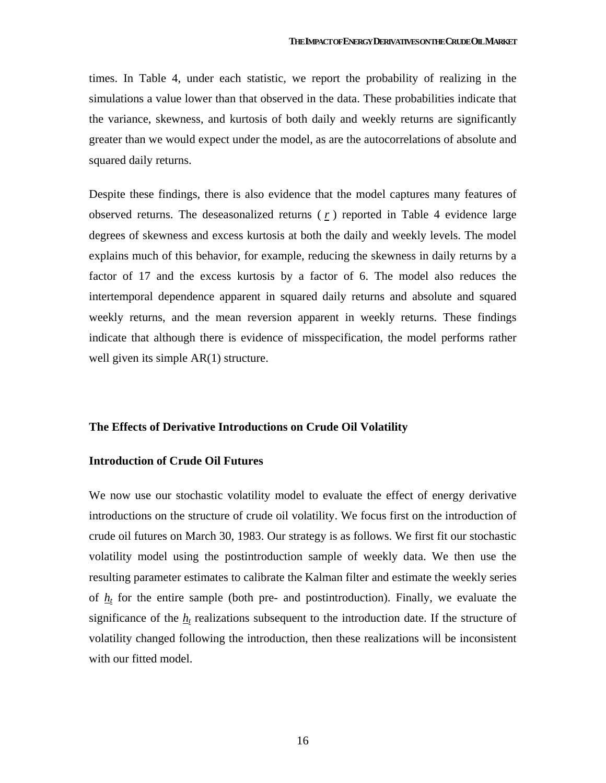times. In Table 4, under each statistic, we report the probability of realizing in the simulations a value lower than that observed in the data. These probabilities indicate that the variance, skewness, and kurtosis of both daily and weekly returns are significantly greater than we would expect under the model, as are the autocorrelations of absolute and squared daily returns.

Despite these findings, there is also evidence that the model captures many features of observed returns. The deseasonalized returns  $\left(\frac{r}{r}\right)$  reported in Table 4 evidence large degrees of skewness and excess kurtosis at both the daily and weekly levels. The model explains much of this behavior, for example, reducing the skewness in daily returns by a factor of 17 and the excess kurtosis by a factor of 6. The model also reduces the intertemporal dependence apparent in squared daily returns and absolute and squared weekly returns, and the mean reversion apparent in weekly returns. These findings indicate that although there is evidence of misspecification, the model performs rather well given its simple AR(1) structure.

#### **The Effects of Derivative Introductions on Crude Oil Volatility**

#### **Introduction of Crude Oil Futures**

We now use our stochastic volatility model to evaluate the effect of energy derivative introductions on the structure of crude oil volatility. We focus first on the introduction of crude oil futures on March 30, 1983. Our strategy is as follows. We first fit our stochastic volatility model using the postintroduction sample of weekly data. We then use the resulting parameter estimates to calibrate the Kalman filter and estimate the weekly series of  $h_t$  for the entire sample (both pre- and postintroduction). Finally, we evaluate the significance of the  $h_t$  realizations subsequent to the introduction date. If the structure of volatility changed following the introduction, then these realizations will be inconsistent with our fitted model.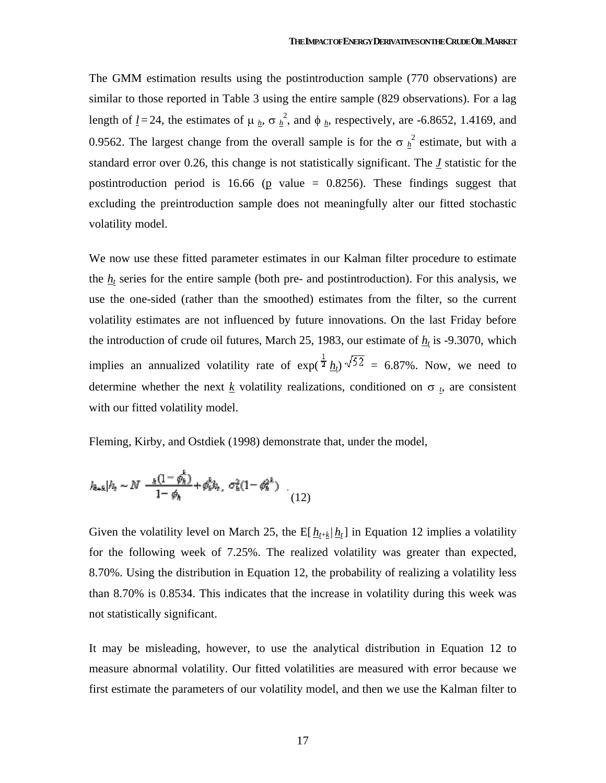The GMM estimation results using the postintroduction sample (770 observations) are similar to those reported in Table 3 using the entire sample (829 observations). For a lag length of  $\underline{l} = 24$ , the estimates of  $\mu_h$ ,  $\sigma_h^2$ , and  $\phi_h$ , respectively, are -6.8652, 1.4169, and 0.9562. The largest change from the overall sample is for the  $\sigma h^2$  estimate, but with a standard error over 0.26, this change is not statistically significant. The *J* statistic for the postintroduction period is 16.66 ( $p$  value = 0.8256). These findings suggest that excluding the preintroduction sample does not meaningfully alter our fitted stochastic volatility model.

We now use these fitted parameter estimates in our Kalman filter procedure to estimate the  $h_t$  series for the entire sample (both pre- and postintroduction). For this analysis, we use the one-sided (rather than the smoothed) estimates from the filter, so the current volatility estimates are not influenced by future innovations. On the last Friday before the introduction of crude oil futures, March 25, 1983, our estimate of  $h_t$  is -9.3070, which implies an annualized volatility rate of  $\exp(\frac{1}{2} h_t) \sqrt{52} = 6.87\%$ . Now, we need to determine whether the next  $\underline{k}$  volatility realizations, conditioned on  $\sigma$ <sub>t</sub>, are consistent with our fitted volatility model.

Fleming, Kirby, and Ostdiek (1998) demonstrate that, under the model,

$$
h_{k+1}|h_k \sim N - \frac{\hbar (1 - \phi_k^k)}{1 - \phi_k} + \phi_k^k h_k, \ \sigma_k^2 (1 - \phi_k^2)^k \tag{12}
$$

Given the volatility level on March 25, the E[ $h_{t+k}$ ] in Equation 12 implies a volatility for the following week of 7.25%. The realized volatility was greater than expected, 8.70%. Using the distribution in Equation 12, the probability of realizing a volatility less than 8.70% is 0.8534. This indicates that the increase in volatility during this week was not statistically significant.

It may be misleading, however, to use the analytical distribution in Equation 12 to measure abnormal volatility. Our fitted volatilities are measured with error because we first estimate the parameters of our volatility model, and then we use the Kalman filter to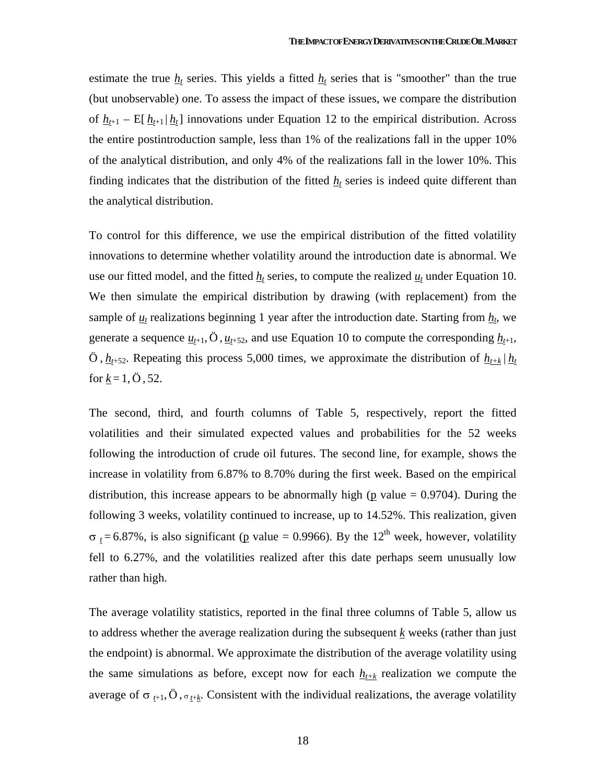estimate the true  $h_t$  series. This yields a fitted  $h_t$  series that is "smoother" than the true (but unobservable) one. To assess the impact of these issues, we compare the distribution of  $\underline{h}_{t+1}$  – E[ $\underline{h}_{t+1}$  | $\underline{h}_t$ ] innovations under Equation 12 to the empirical distribution. Across the entire postintroduction sample, less than 1% of the realizations fall in the upper 10% of the analytical distribution, and only 4% of the realizations fall in the lower 10%. This finding indicates that the distribution of the fitted  $h_t$  series is indeed quite different than the analytical distribution.

To control for this difference, we use the empirical distribution of the fitted volatility innovations to determine whether volatility around the introduction date is abnormal. We use our fitted model, and the fitted  $h_t$  series, to compute the realized  $u_t$  under Equation 10. We then simulate the empirical distribution by drawing (with replacement) from the sample of  $\underline{u}_t$  realizations beginning 1 year after the introduction date. Starting from  $\underline{h}_t$ , we generate a sequence  $\underline{u}_{t+1}$ ,  $\ddot{O}$ ,  $\underline{u}_{t+52}$ , and use Equation 10 to compute the corresponding  $\underline{h}_{t+1}$ ,  $\ddot{\text{O}}$ ,  $\underline{h}_{t+52}$ . Repeating this process 5,000 times, we approximate the distribution of  $\underline{h}_{t+k} | \underline{h}_t$ for  $k = 1, \ddot{O}, 52$ .

The second, third, and fourth columns of Table 5, respectively, report the fitted volatilities and their simulated expected values and probabilities for the 52 weeks following the introduction of crude oil futures. The second line, for example, shows the increase in volatility from 6.87% to 8.70% during the first week. Based on the empirical distribution, this increase appears to be abnormally high (p value  $= 0.9704$ ). During the following 3 weeks, volatility continued to increase, up to 14.52%. This realization, given  $\sigma_t$  = 6.87%, is also significant (p value = 0.9966). By the 12<sup>th</sup> week, however, volatility fell to 6.27%, and the volatilities realized after this date perhaps seem unusually low rather than high.

The average volatility statistics, reported in the final three columns of Table 5, allow us to address whether the average realization during the subsequent *k* weeks (rather than just the endpoint) is abnormal. We approximate the distribution of the average volatility using the same simulations as before, except now for each  $h_{t+k}$  realization we compute the average of  $\sigma_{t+1}$ ,  $\ddot{\sigma}_{t+k}$ . Consistent with the individual realizations, the average volatility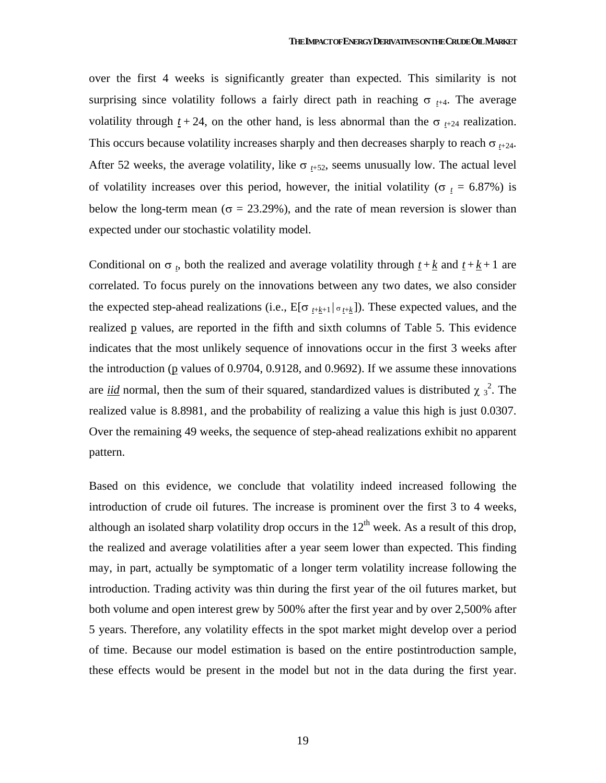over the first 4 weeks is significantly greater than expected. This similarity is not surprising since volatility follows a fairly direct path in reaching  $\sigma$  <sub>t+4</sub>. The average volatility through  $t + 24$ , on the other hand, is less abnormal than the  $\sigma_{t+24}$  realization. This occurs because volatility increases sharply and then decreases sharply to reach  $\sigma_{t+24}$ . After 52 weeks, the average volatility, like  $\sigma$ <sub>*t*+52</sub>, seems unusually low. The actual level of volatility increases over this period, however, the initial volatility ( $\sigma_t = 6.87\%$ ) is below the long-term mean ( $\sigma = 23.29\%$ ), and the rate of mean reversion is slower than expected under our stochastic volatility model.

Conditional on  $\sigma$  *t*, both the realized and average volatility through  $t + k$  and  $t + k + 1$  are correlated. To focus purely on the innovations between any two dates, we also consider the expected step-ahead realizations (i.e.,  $E[\sigma_{t+k+1} | \sigma_{t+k}]$ ). These expected values, and the realized p values, are reported in the fifth and sixth columns of Table 5. This evidence indicates that the most unlikely sequence of innovations occur in the first 3 weeks after the introduction ( $p$  values of 0.9704, 0.9128, and 0.9692). If we assume these innovations are *iid* normal, then the sum of their squared, standardized values is distributed  $\chi_3^2$ . The realized value is 8.8981, and the probability of realizing a value this high is just 0.0307. Over the remaining 49 weeks, the sequence of step-ahead realizations exhibit no apparent pattern.

Based on this evidence, we conclude that volatility indeed increased following the introduction of crude oil futures. The increase is prominent over the first 3 to 4 weeks, although an isolated sharp volatility drop occurs in the  $12<sup>th</sup>$  week. As a result of this drop, the realized and average volatilities after a year seem lower than expected. This finding may, in part, actually be symptomatic of a longer term volatility increase following the introduction. Trading activity was thin during the first year of the oil futures market, but both volume and open interest grew by 500% after the first year and by over 2,500% after 5 years. Therefore, any volatility effects in the spot market might develop over a period of time. Because our model estimation is based on the entire postintroduction sample, these effects would be present in the model but not in the data during the first year.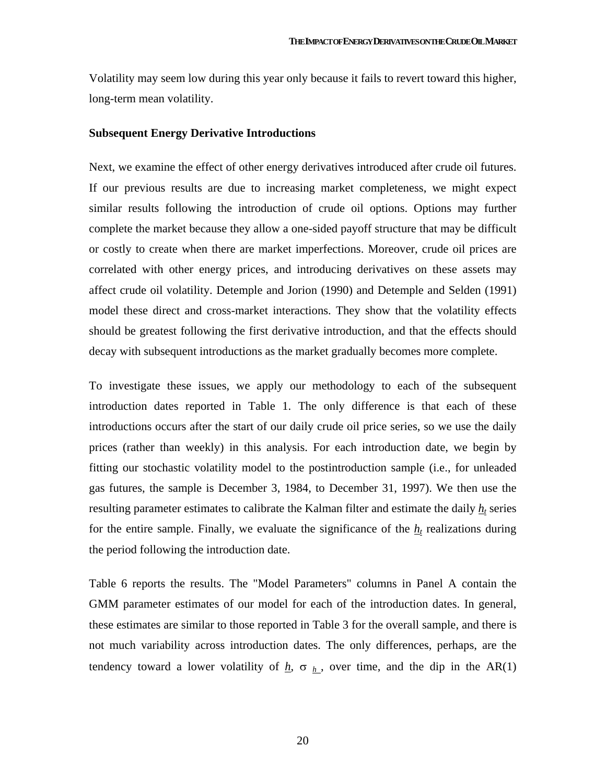Volatility may seem low during this year only because it fails to revert toward this higher, long-term mean volatility.

#### **Subsequent Energy Derivative Introductions**

Next, we examine the effect of other energy derivatives introduced after crude oil futures. If our previous results are due to increasing market completeness, we might expect similar results following the introduction of crude oil options. Options may further complete the market because they allow a one-sided payoff structure that may be difficult or costly to create when there are market imperfections. Moreover, crude oil prices are correlated with other energy prices, and introducing derivatives on these assets may affect crude oil volatility. Detemple and Jorion (1990) and Detemple and Selden (1991) model these direct and cross-market interactions. They show that the volatility effects should be greatest following the first derivative introduction, and that the effects should decay with subsequent introductions as the market gradually becomes more complete.

To investigate these issues, we apply our methodology to each of the subsequent introduction dates reported in Table 1. The only difference is that each of these introductions occurs after the start of our daily crude oil price series, so we use the daily prices (rather than weekly) in this analysis. For each introduction date, we begin by fitting our stochastic volatility model to the postintroduction sample (i.e., for unleaded gas futures, the sample is December 3, 1984, to December 31, 1997). We then use the resulting parameter estimates to calibrate the Kalman filter and estimate the daily  $h_t$  series for the entire sample. Finally, we evaluate the significance of the  $h_t$  realizations during the period following the introduction date.

Table 6 reports the results. The "Model Parameters" columns in Panel A contain the GMM parameter estimates of our model for each of the introduction dates. In general, these estimates are similar to those reported in Table 3 for the overall sample, and there is not much variability across introduction dates. The only differences, perhaps, are the tendency toward a lower volatility of  $h$ ,  $\sigma$ <sub>h</sub>, over time, and the dip in the AR(1)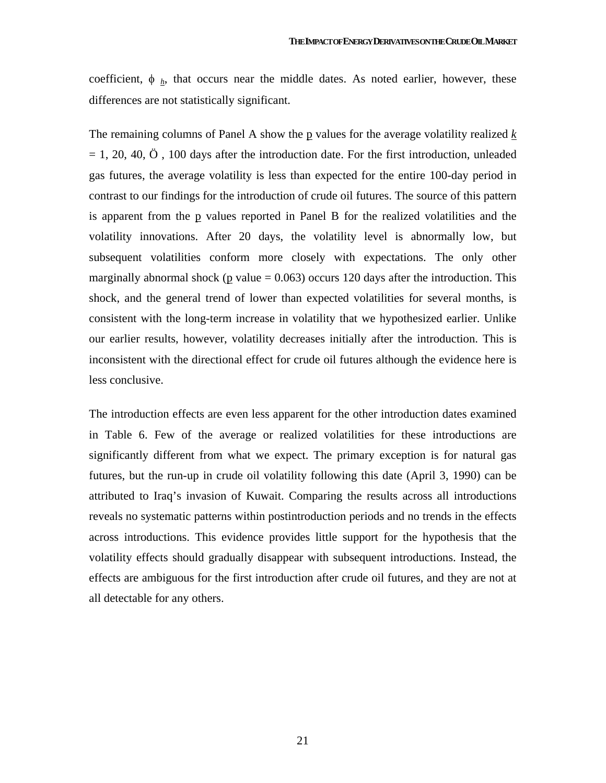coefficient,  $\phi$ <sub>h</sub>, that occurs near the middle dates. As noted earlier, however, these differences are not statistically significant.

The remaining columns of Panel A show the  $p$  values for the average volatility realized  $k$  $= 1, 20, 40, \ddot{O}$ , 100 days after the introduction date. For the first introduction, unleaded gas futures, the average volatility is less than expected for the entire 100-day period in contrast to our findings for the introduction of crude oil futures. The source of this pattern is apparent from the p values reported in Panel B for the realized volatilities and the volatility innovations. After 20 days, the volatility level is abnormally low, but subsequent volatilities conform more closely with expectations. The only other marginally abnormal shock (p value  $= 0.063$ ) occurs 120 days after the introduction. This shock, and the general trend of lower than expected volatilities for several months, is consistent with the long-term increase in volatility that we hypothesized earlier. Unlike our earlier results, however, volatility decreases initially after the introduction. This is inconsistent with the directional effect for crude oil futures although the evidence here is less conclusive.

The introduction effects are even less apparent for the other introduction dates examined in Table 6. Few of the average or realized volatilities for these introductions are significantly different from what we expect. The primary exception is for natural gas futures, but the run-up in crude oil volatility following this date (April 3, 1990) can be attributed to Iraq's invasion of Kuwait. Comparing the results across all introductions reveals no systematic patterns within postintroduction periods and no trends in the effects across introductions. This evidence provides little support for the hypothesis that the volatility effects should gradually disappear with subsequent introductions. Instead, the effects are ambiguous for the first introduction after crude oil futures, and they are not at all detectable for any others.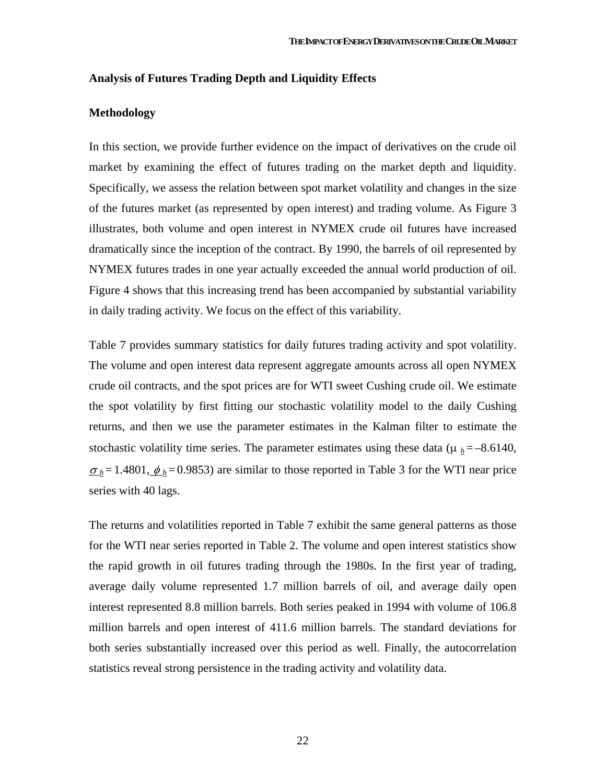## **Analysis of Futures Trading Depth and Liquidity Effects**

#### **Methodology**

In this section, we provide further evidence on the impact of derivatives on the crude oil market by examining the effect of futures trading on the market depth and liquidity. Specifically, we assess the relation between spot market volatility and changes in the size of the futures market (as represented by open interest) and trading volume. As Figure 3 illustrates, both volume and open interest in NYMEX crude oil futures have increased dramatically since the inception of the contract. By 1990, the barrels of oil represented by NYMEX futures trades in one year actually exceeded the annual world production of oil. Figure 4 shows that this increasing trend has been accompanied by substantial variability in daily trading activity. We focus on the effect of this variability.

Table 7 provides summary statistics for daily futures trading activity and spot volatility. The volume and open interest data represent aggregate amounts across all open NYMEX crude oil contracts, and the spot prices are for WTI sweet Cushing crude oil. We estimate the spot volatility by first fitting our stochastic volatility model to the daily Cushing returns, and then we use the parameter estimates in the Kalman filter to estimate the stochastic volatility time series. The parameter estimates using these data ( $\mu$   $_h = -8.6140$ ,  $\underline{\sigma}_h$  = 1.4801,  $\underline{\phi}_h$  = 0.9853) are similar to those reported in Table 3 for the WTI near price series with 40 lags.

The returns and volatilities reported in Table 7 exhibit the same general patterns as those for the WTI near series reported in Table 2. The volume and open interest statistics show the rapid growth in oil futures trading through the 1980s. In the first year of trading, average daily volume represented 1.7 million barrels of oil, and average daily open interest represented 8.8 million barrels. Both series peaked in 1994 with volume of 106.8 million barrels and open interest of 411.6 million barrels. The standard deviations for both series substantially increased over this period as well. Finally, the autocorrelation statistics reveal strong persistence in the trading activity and volatility data.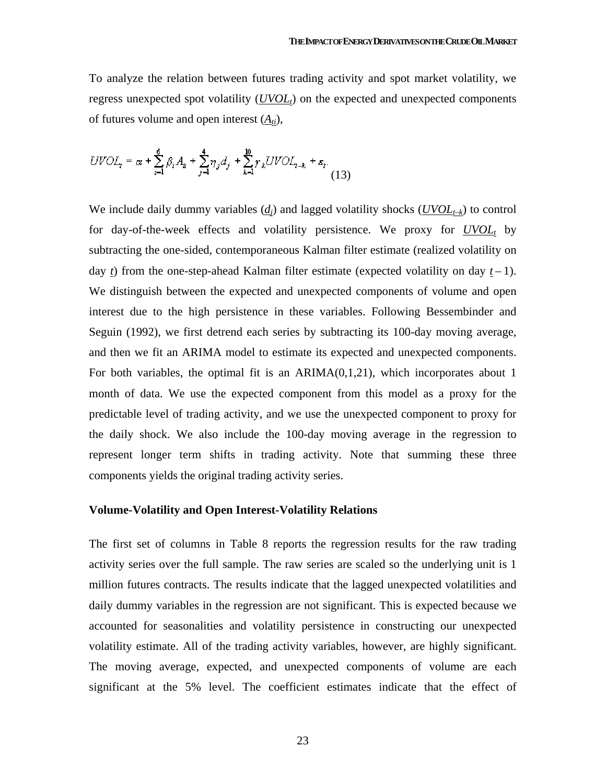To analyze the relation between futures trading activity and spot market volatility, we regress unexpected spot volatility (*UVOLt*) on the expected and unexpected components of futures volume and open interest  $(A_{ti})$ ,

$$
UVOL_t = \alpha + \sum_{i=1}^{6} \beta_i A_i + \sum_{j=1}^{4} \eta_j d_j + \sum_{k=1}^{10} \gamma_k UVOL_{t-k} + \varepsilon_t.
$$
 (13)

We include daily dummy variables  $(d_i)$  and lagged volatility shocks  $(UVOL_{t-k})$  to control for day-of-the-week effects and volatility persistence. We proxy for  $UVOL<sub>t</sub>$  by subtracting the one-sided, contemporaneous Kalman filter estimate (realized volatility on day *t*) from the one-step-ahead Kalman filter estimate (expected volatility on day *t* – 1). We distinguish between the expected and unexpected components of volume and open interest due to the high persistence in these variables. Following Bessembinder and Seguin (1992), we first detrend each series by subtracting its 100-day moving average, and then we fit an ARIMA model to estimate its expected and unexpected components. For both variables, the optimal fit is an  $ARIMA(0,1,21)$ , which incorporates about 1 month of data. We use the expected component from this model as a proxy for the predictable level of trading activity, and we use the unexpected component to proxy for the daily shock. We also include the 100-day moving average in the regression to represent longer term shifts in trading activity. Note that summing these three components yields the original trading activity series.

#### **Volume-Volatility and Open Interest-Volatility Relations**

The first set of columns in Table 8 reports the regression results for the raw trading activity series over the full sample. The raw series are scaled so the underlying unit is 1 million futures contracts. The results indicate that the lagged unexpected volatilities and daily dummy variables in the regression are not significant. This is expected because we accounted for seasonalities and volatility persistence in constructing our unexpected volatility estimate. All of the trading activity variables, however, are highly significant. The moving average, expected, and unexpected components of volume are each significant at the 5% level. The coefficient estimates indicate that the effect of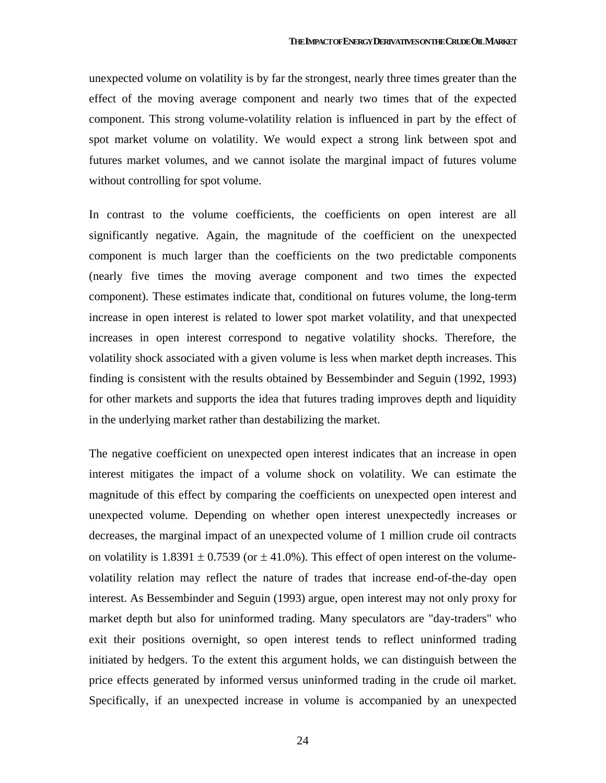unexpected volume on volatility is by far the strongest, nearly three times greater than the effect of the moving average component and nearly two times that of the expected component. This strong volume-volatility relation is influenced in part by the effect of spot market volume on volatility. We would expect a strong link between spot and futures market volumes, and we cannot isolate the marginal impact of futures volume without controlling for spot volume.

In contrast to the volume coefficients, the coefficients on open interest are all significantly negative. Again, the magnitude of the coefficient on the unexpected component is much larger than the coefficients on the two predictable components (nearly five times the moving average component and two times the expected component). These estimates indicate that, conditional on futures volume, the long-term increase in open interest is related to lower spot market volatility, and that unexpected increases in open interest correspond to negative volatility shocks. Therefore, the volatility shock associated with a given volume is less when market depth increases. This finding is consistent with the results obtained by Bessembinder and Seguin (1992, 1993) for other markets and supports the idea that futures trading improves depth and liquidity in the underlying market rather than destabilizing the market.

The negative coefficient on unexpected open interest indicates that an increase in open interest mitigates the impact of a volume shock on volatility. We can estimate the magnitude of this effect by comparing the coefficients on unexpected open interest and unexpected volume. Depending on whether open interest unexpectedly increases or decreases, the marginal impact of an unexpected volume of 1 million crude oil contracts on volatility is  $1.8391 \pm 0.7539$  (or  $\pm 41.0\%$ ). This effect of open interest on the volumevolatility relation may reflect the nature of trades that increase end-of-the-day open interest. As Bessembinder and Seguin (1993) argue, open interest may not only proxy for market depth but also for uninformed trading. Many speculators are "day-traders" who exit their positions overnight, so open interest tends to reflect uninformed trading initiated by hedgers. To the extent this argument holds, we can distinguish between the price effects generated by informed versus uninformed trading in the crude oil market. Specifically, if an unexpected increase in volume is accompanied by an unexpected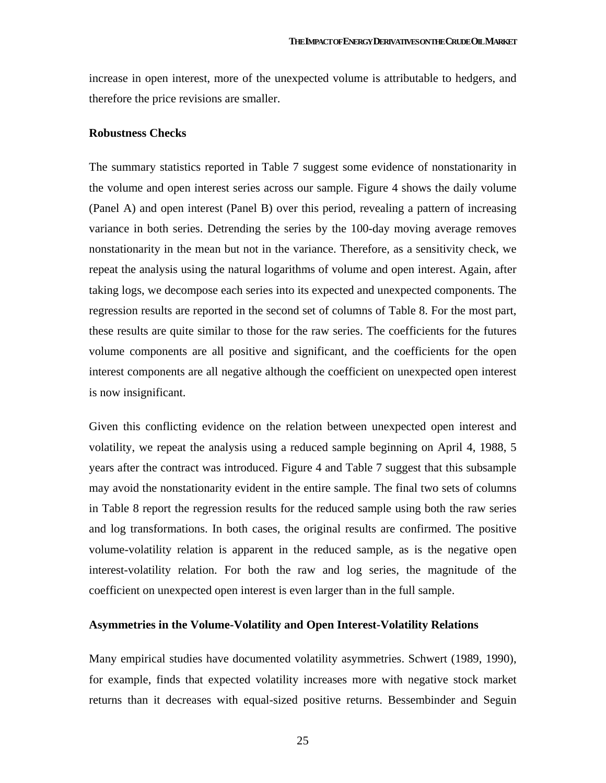increase in open interest, more of the unexpected volume is attributable to hedgers, and therefore the price revisions are smaller.

#### **Robustness Checks**

The summary statistics reported in Table 7 suggest some evidence of nonstationarity in the volume and open interest series across our sample. Figure 4 shows the daily volume (Panel A) and open interest (Panel B) over this period, revealing a pattern of increasing variance in both series. Detrending the series by the 100-day moving average removes nonstationarity in the mean but not in the variance. Therefore, as a sensitivity check, we repeat the analysis using the natural logarithms of volume and open interest. Again, after taking logs, we decompose each series into its expected and unexpected components. The regression results are reported in the second set of columns of Table 8. For the most part, these results are quite similar to those for the raw series. The coefficients for the futures volume components are all positive and significant, and the coefficients for the open interest components are all negative although the coefficient on unexpected open interest is now insignificant.

Given this conflicting evidence on the relation between unexpected open interest and volatility, we repeat the analysis using a reduced sample beginning on April 4, 1988, 5 years after the contract was introduced. Figure 4 and Table 7 suggest that this subsample may avoid the nonstationarity evident in the entire sample. The final two sets of columns in Table 8 report the regression results for the reduced sample using both the raw series and log transformations. In both cases, the original results are confirmed. The positive volume-volatility relation is apparent in the reduced sample, as is the negative open interest-volatility relation. For both the raw and log series, the magnitude of the coefficient on unexpected open interest is even larger than in the full sample.

## **Asymmetries in the Volume-Volatility and Open Interest-Volatility Relations**

Many empirical studies have documented volatility asymmetries. Schwert (1989, 1990), for example, finds that expected volatility increases more with negative stock market returns than it decreases with equal-sized positive returns. Bessembinder and Seguin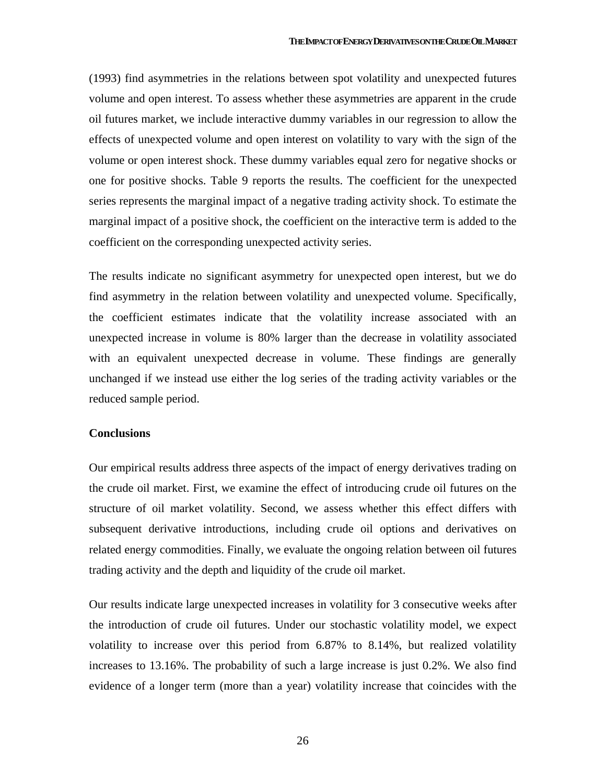(1993) find asymmetries in the relations between spot volatility and unexpected futures volume and open interest. To assess whether these asymmetries are apparent in the crude oil futures market, we include interactive dummy variables in our regression to allow the effects of unexpected volume and open interest on volatility to vary with the sign of the volume or open interest shock. These dummy variables equal zero for negative shocks or one for positive shocks. Table 9 reports the results. The coefficient for the unexpected series represents the marginal impact of a negative trading activity shock. To estimate the marginal impact of a positive shock, the coefficient on the interactive term is added to the coefficient on the corresponding unexpected activity series.

The results indicate no significant asymmetry for unexpected open interest, but we do find asymmetry in the relation between volatility and unexpected volume. Specifically, the coefficient estimates indicate that the volatility increase associated with an unexpected increase in volume is 80% larger than the decrease in volatility associated with an equivalent unexpected decrease in volume. These findings are generally unchanged if we instead use either the log series of the trading activity variables or the reduced sample period.

#### **Conclusions**

Our empirical results address three aspects of the impact of energy derivatives trading on the crude oil market. First, we examine the effect of introducing crude oil futures on the structure of oil market volatility. Second, we assess whether this effect differs with subsequent derivative introductions, including crude oil options and derivatives on related energy commodities. Finally, we evaluate the ongoing relation between oil futures trading activity and the depth and liquidity of the crude oil market.

Our results indicate large unexpected increases in volatility for 3 consecutive weeks after the introduction of crude oil futures. Under our stochastic volatility model, we expect volatility to increase over this period from 6.87% to 8.14%, but realized volatility increases to 13.16%. The probability of such a large increase is just 0.2%. We also find evidence of a longer term (more than a year) volatility increase that coincides with the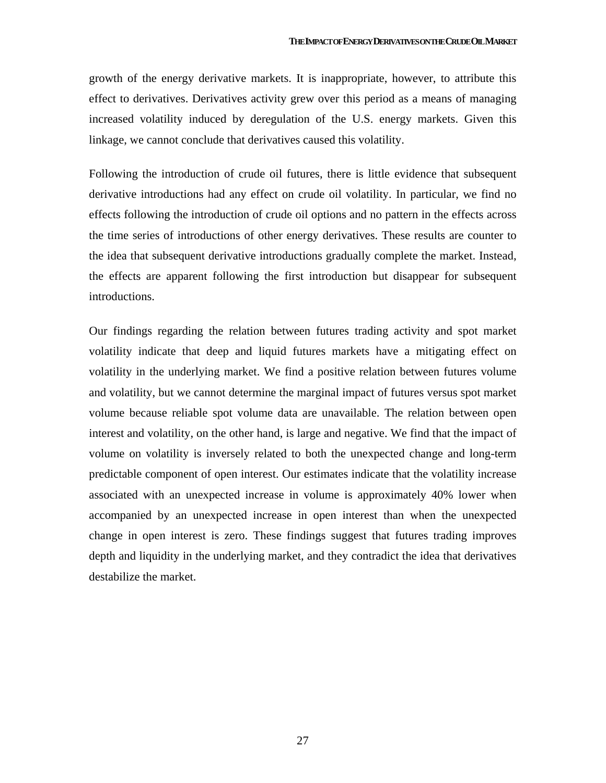growth of the energy derivative markets. It is inappropriate, however, to attribute this effect to derivatives. Derivatives activity grew over this period as a means of managing increased volatility induced by deregulation of the U.S. energy markets. Given this linkage, we cannot conclude that derivatives caused this volatility.

Following the introduction of crude oil futures, there is little evidence that subsequent derivative introductions had any effect on crude oil volatility. In particular, we find no effects following the introduction of crude oil options and no pattern in the effects across the time series of introductions of other energy derivatives. These results are counter to the idea that subsequent derivative introductions gradually complete the market. Instead, the effects are apparent following the first introduction but disappear for subsequent introductions.

Our findings regarding the relation between futures trading activity and spot market volatility indicate that deep and liquid futures markets have a mitigating effect on volatility in the underlying market. We find a positive relation between futures volume and volatility, but we cannot determine the marginal impact of futures versus spot market volume because reliable spot volume data are unavailable. The relation between open interest and volatility, on the other hand, is large and negative. We find that the impact of volume on volatility is inversely related to both the unexpected change and long-term predictable component of open interest. Our estimates indicate that the volatility increase associated with an unexpected increase in volume is approximately 40% lower when accompanied by an unexpected increase in open interest than when the unexpected change in open interest is zero. These findings suggest that futures trading improves depth and liquidity in the underlying market, and they contradict the idea that derivatives destabilize the market.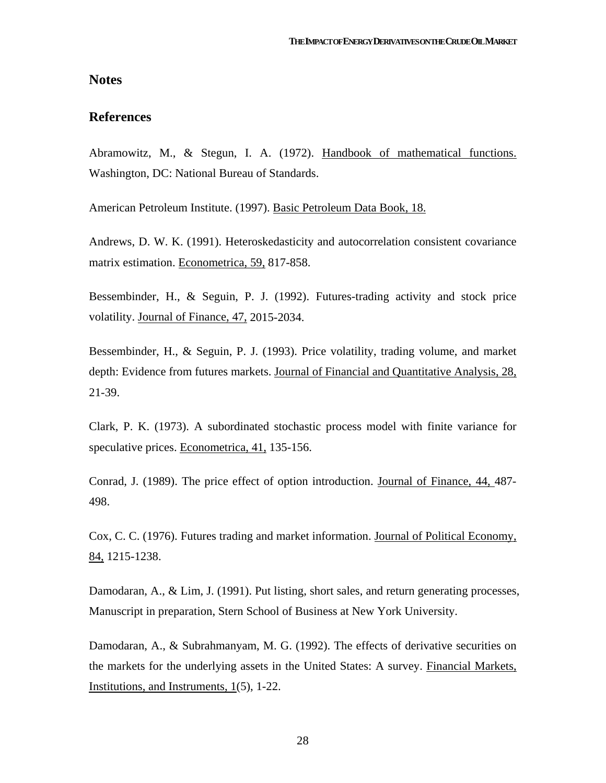# **Notes**

# **References**

Abramowitz, M., & Stegun, I. A. (1972). Handbook of mathematical functions. Washington, DC: National Bureau of Standards.

American Petroleum Institute. (1997). Basic Petroleum Data Book, 18.

Andrews, D. W. K. (1991). Heteroskedasticity and autocorrelation consistent covariance matrix estimation. Econometrica, 59, 817-858.

Bessembinder, H., & Seguin, P. J. (1992). Futures-trading activity and stock price volatility. Journal of Finance, 47, 2015-2034.

Bessembinder, H., & Seguin, P. J. (1993). Price volatility, trading volume, and market depth: Evidence from futures markets. Journal of Financial and Quantitative Analysis, 28, 21-39.

Clark, P. K. (1973). A subordinated stochastic process model with finite variance for speculative prices. Econometrica, 41, 135-156.

Conrad, J. (1989). The price effect of option introduction. Journal of Finance, 44, 487- 498.

Cox, C. C. (1976). Futures trading and market information. Journal of Political Economy, 84, 1215-1238.

Damodaran, A., & Lim, J. (1991). Put listing, short sales, and return generating processes, Manuscript in preparation, Stern School of Business at New York University.

Damodaran, A., & Subrahmanyam, M. G. (1992). The effects of derivative securities on the markets for the underlying assets in the United States: A survey. Financial Markets, Institutions, and Instruments, 1(5), 1-22.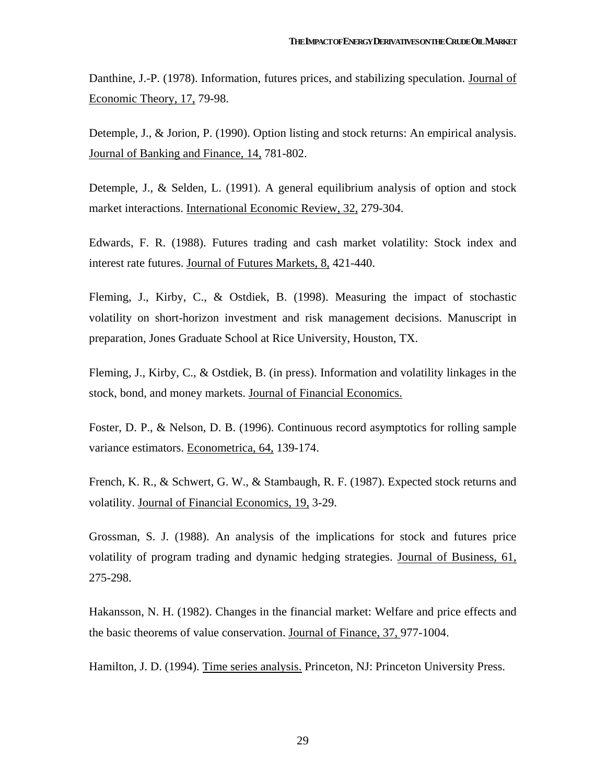Danthine, J.-P. (1978). Information, futures prices, and stabilizing speculation. Journal of Economic Theory, 17, 79-98.

Detemple, J., & Jorion, P. (1990). Option listing and stock returns: An empirical analysis. Journal of Banking and Finance, 14, 781-802.

Detemple, J., & Selden, L. (1991). A general equilibrium analysis of option and stock market interactions. International Economic Review, 32, 279-304.

Edwards, F. R. (1988). Futures trading and cash market volatility: Stock index and interest rate futures. Journal of Futures Markets, 8, 421-440.

Fleming, J., Kirby, C., & Ostdiek, B. (1998). Measuring the impact of stochastic volatility on short-horizon investment and risk management decisions. Manuscript in preparation, Jones Graduate School at Rice University, Houston, TX.

Fleming, J., Kirby, C., & Ostdiek, B. (in press). Information and volatility linkages in the stock, bond, and money markets. Journal of Financial Economics.

Foster, D. P., & Nelson, D. B. (1996). Continuous record asymptotics for rolling sample variance estimators. Econometrica, 64, 139-174.

French, K. R., & Schwert, G. W., & Stambaugh, R. F. (1987). Expected stock returns and volatility. Journal of Financial Economics, 19, 3-29.

Grossman, S. J. (1988). An analysis of the implications for stock and futures price volatility of program trading and dynamic hedging strategies. Journal of Business, 61, 275-298.

Hakansson, N. H. (1982). Changes in the financial market: Welfare and price effects and the basic theorems of value conservation. Journal of Finance, 37, 977-1004.

Hamilton, J. D. (1994). Time series analysis. Princeton, NJ: Princeton University Press.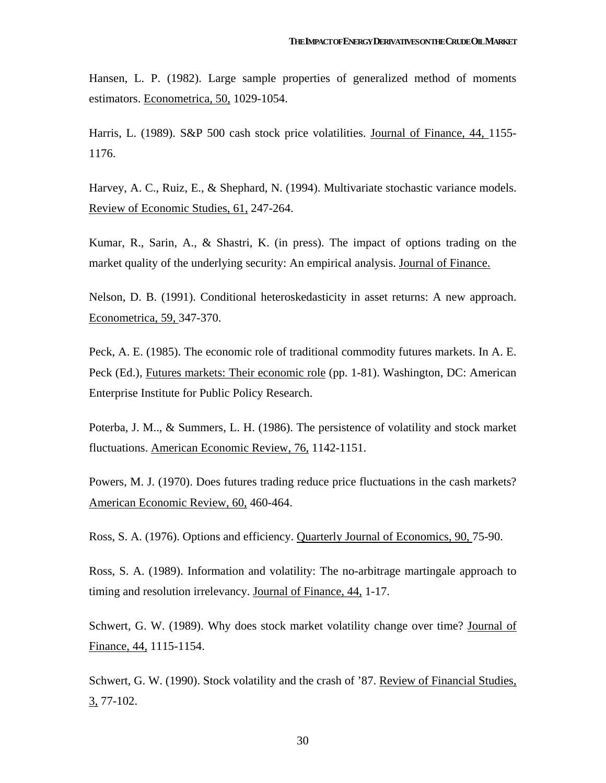Hansen, L. P. (1982). Large sample properties of generalized method of moments estimators. Econometrica, 50, 1029-1054.

Harris, L. (1989). S&P 500 cash stock price volatilities. Journal of Finance, 44, 1155- 1176.

Harvey, A. C., Ruiz, E., & Shephard, N. (1994). Multivariate stochastic variance models. Review of Economic Studies, 61, 247-264.

Kumar, R., Sarin, A., & Shastri, K. (in press). The impact of options trading on the market quality of the underlying security: An empirical analysis. Journal of Finance.

Nelson, D. B. (1991). Conditional heteroskedasticity in asset returns: A new approach. Econometrica, 59, 347-370.

Peck, A. E. (1985). The economic role of traditional commodity futures markets. In A. E. Peck (Ed.), Futures markets: Their economic role (pp. 1-81). Washington, DC: American Enterprise Institute for Public Policy Research.

Poterba, J. M.., & Summers, L. H. (1986). The persistence of volatility and stock market fluctuations. American Economic Review, 76, 1142-1151.

Powers, M. J. (1970). Does futures trading reduce price fluctuations in the cash markets? American Economic Review, 60, 460-464.

Ross, S. A. (1976). Options and efficiency. Quarterly Journal of Economics, 90, 75-90.

Ross, S. A. (1989). Information and volatility: The no-arbitrage martingale approach to timing and resolution irrelevancy. Journal of Finance, 44, 1-17.

Schwert, G. W. (1989). Why does stock market volatility change over time? Journal of Finance, 44, 1115-1154.

Schwert, G. W. (1990). Stock volatility and the crash of '87. Review of Financial Studies,  $3, 77-102.$ 

30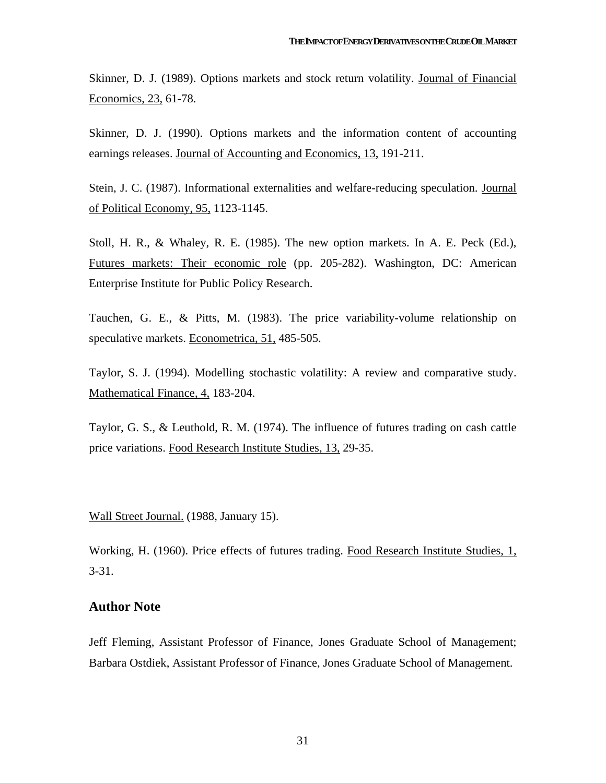Skinner, D. J. (1989). Options markets and stock return volatility. Journal of Financial Economics, 23, 61-78.

Skinner, D. J. (1990). Options markets and the information content of accounting earnings releases. Journal of Accounting and Economics, 13, 191-211.

Stein, J. C. (1987). Informational externalities and welfare-reducing speculation. Journal of Political Economy, 95, 1123-1145.

Stoll, H. R., & Whaley, R. E. (1985). The new option markets. In A. E. Peck (Ed.), Futures markets: Their economic role (pp. 205-282). Washington, DC: American Enterprise Institute for Public Policy Research.

Tauchen, G. E., & Pitts, M. (1983). The price variability-volume relationship on speculative markets. Econometrica, 51, 485-505.

Taylor, S. J. (1994). Modelling stochastic volatility: A review and comparative study. Mathematical Finance, 4, 183-204.

Taylor, G. S., & Leuthold, R. M. (1974). The influence of futures trading on cash cattle price variations. Food Research Institute Studies, 13, 29-35.

Wall Street Journal. (1988, January 15).

Working, H. (1960). Price effects of futures trading. Food Research Institute Studies, 1, 3-31.

# **Author Note**

Jeff Fleming, Assistant Professor of Finance, Jones Graduate School of Management; Barbara Ostdiek, Assistant Professor of Finance, Jones Graduate School of Management.